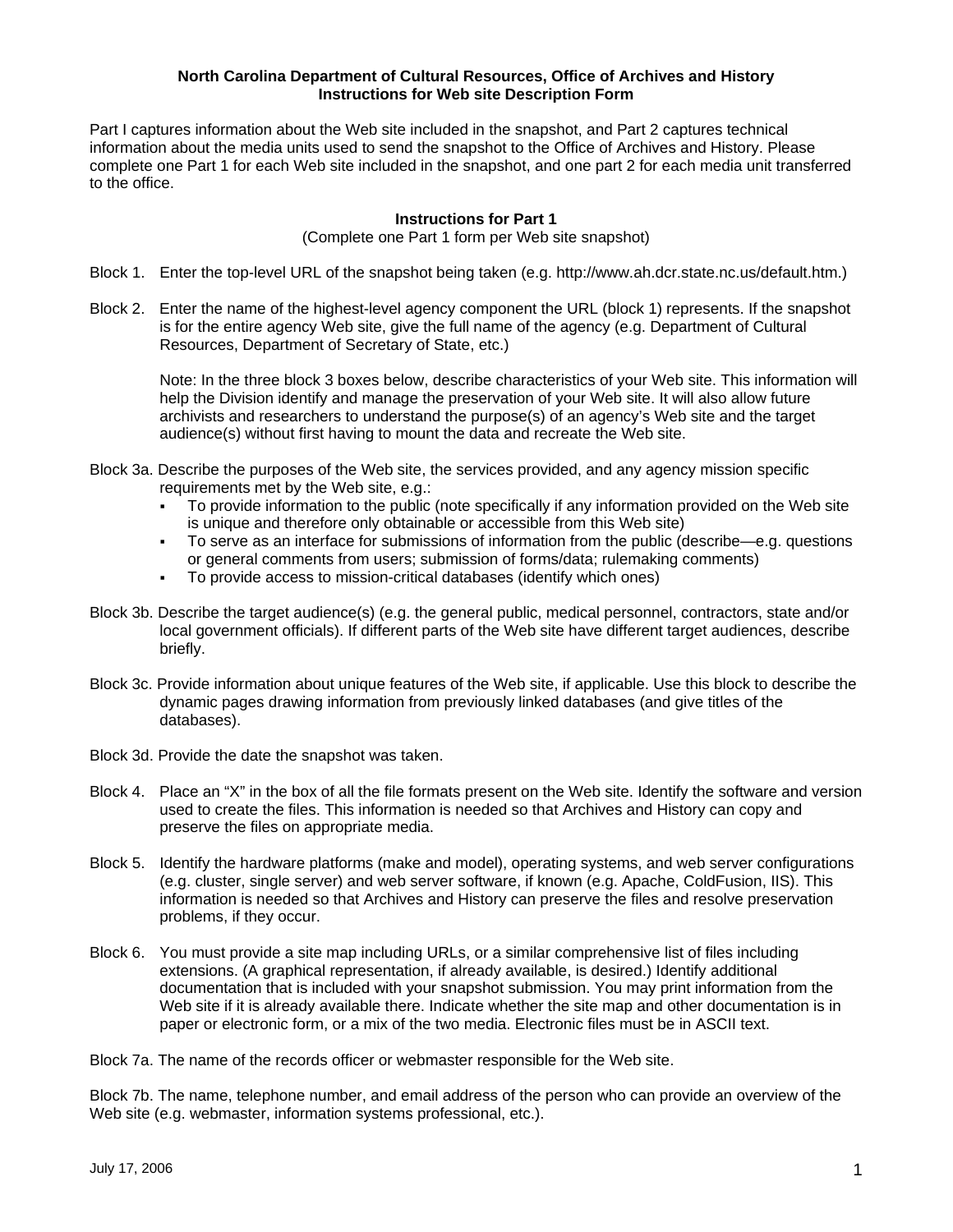## **North Carolina Department of Cultural Resources, Office of Archives and History Instructions for Web site Description Form**

Part I captures information about the Web site included in the snapshot, and Part 2 captures technical information about the media units used to send the snapshot to the Office of Archives and History. Please complete one Part 1 for each Web site included in the snapshot, and one part 2 for each media unit transferred to the office.

## **Instructions for Part 1**

(Complete one Part 1 form per Web site snapshot)

- Block 1. Enter the top-level URL of the snapshot being taken (e.g. http://www.ah.dcr.state.nc.us/default.htm.)
- Block 2. Enter the name of the highest-level agency component the URL (block 1) represents. If the snapshot is for the entire agency Web site, give the full name of the agency (e.g. Department of Cultural Resources, Department of Secretary of State, etc.)

Note: In the three block 3 boxes below, describe characteristics of your Web site. This information will help the Division identify and manage the preservation of your Web site. It will also allow future archivists and researchers to understand the purpose(s) of an agency's Web site and the target audience(s) without first having to mount the data and recreate the Web site.

- Block 3a. Describe the purposes of the Web site, the services provided, and any agency mission specific requirements met by the Web site, e.g.:
	- To provide information to the public (note specifically if any information provided on the Web site is unique and therefore only obtainable or accessible from this Web site)
	- To serve as an interface for submissions of information from the public (describe—e.g. questions or general comments from users; submission of forms/data; rulemaking comments)
	- To provide access to mission-critical databases (identify which ones)
- Block 3b. Describe the target audience(s) (e.g. the general public, medical personnel, contractors, state and/or local government officials). If different parts of the Web site have different target audiences, describe briefly.
- Block 3c. Provide information about unique features of the Web site, if applicable. Use this block to describe the dynamic pages drawing information from previously linked databases (and give titles of the databases).
- Block 3d. Provide the date the snapshot was taken.
- Block 4. Place an "X" in the box of all the file formats present on the Web site. Identify the software and version used to create the files. This information is needed so that Archives and History can copy and preserve the files on appropriate media.
- Block 5. Identify the hardware platforms (make and model), operating systems, and web server configurations (e.g. cluster, single server) and web server software, if known (e.g. Apache, ColdFusion, IIS). This information is needed so that Archives and History can preserve the files and resolve preservation problems, if they occur.
- Block 6. You must provide a site map including URLs, or a similar comprehensive list of files including extensions. (A graphical representation, if already available, is desired.) Identify additional documentation that is included with your snapshot submission. You may print information from the Web site if it is already available there. Indicate whether the site map and other documentation is in paper or electronic form, or a mix of the two media. Electronic files must be in ASCII text.

Block 7a. The name of the records officer or webmaster responsible for the Web site.

Block 7b. The name, telephone number, and email address of the person who can provide an overview of the Web site (e.g. webmaster, information systems professional, etc.).